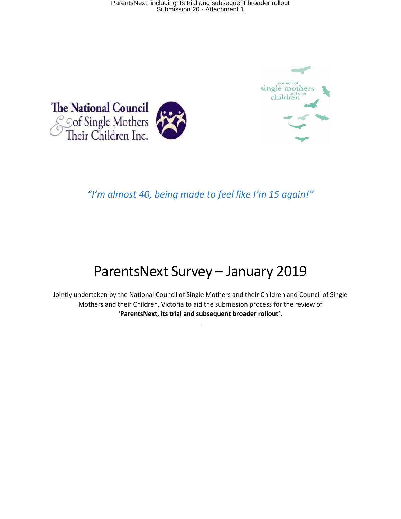



## *"I'm almost 40, being made to feel like I'm 15 again!"*

# ParentsNext Survey – January 2019

Jointly undertaken by the National Council of Single Mothers and their Children and Council of Single Mothers and their Children, Victoria to aid the submission process for the review of '**ParentsNext, its trial and subsequent broader rollout'.**

.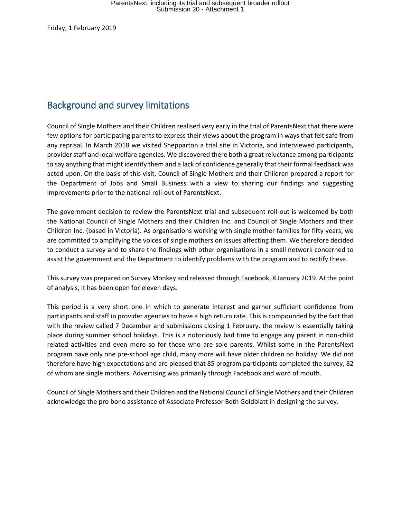Friday, 1 February 2019

## Background and survey limitations

Council of Single Mothers and their Children realised very early in the trial of ParentsNext that there were few options for participating parents to express their views about the program in ways that felt safe from any reprisal. In March 2018 we visited Shepparton a trial site in Victoria, and interviewed participants, provider staff and local welfare agencies. We discovered there both a great reluctance among participants to say anything that might identify them and a lack of confidence generally that their formal feedback was acted upon. On the basis of this visit, Council of Single Mothers and their Children prepared a report for the Department of Jobs and Small Business with a view to sharing our findings and suggesting improvements prior to the national roll-out of ParentsNext.

The government decision to review the ParentsNext trial and subsequent roll-out is welcomed by both the National Council of Single Mothers and their Children Inc. and Council of Single Mothers and their Children Inc. (based in Victoria). As organisations working with single mother families for fifty years, we are committed to amplifying the voices of single mothers on issues affecting them. We therefore decided to conduct a survey and to share the findings with other organisations in a small network concerned to assist the government and the Department to identify problems with the program and to rectify these.

This survey was prepared on Survey Monkey and released through Facebook, 8 January 2019. At the point of analysis, it has been open for eleven days.

This period is a very short one in which to generate interest and garner sufficient confidence from participants and staff in provider agencies to have a high return rate. This is compounded by the fact that with the review called 7 December and submissions closing 1 February, the review is essentially taking place during summer school holidays. This is a notoriously bad time to engage any parent in non-child related activities and even more so for those who are sole parents. Whilst some in the ParentsNext program have only one pre-school age child, many more will have older children on holiday. We did not therefore have high expectations and are pleased that 85 program participants completed the survey, 82 of whom are single mothers. Advertising was primarily through Facebook and word of mouth.

Council of Single Mothers and their Children and the National Council of Single Mothers and their Children acknowledge the pro bono assistance of Associate Professor Beth Goldblatt in designing the survey.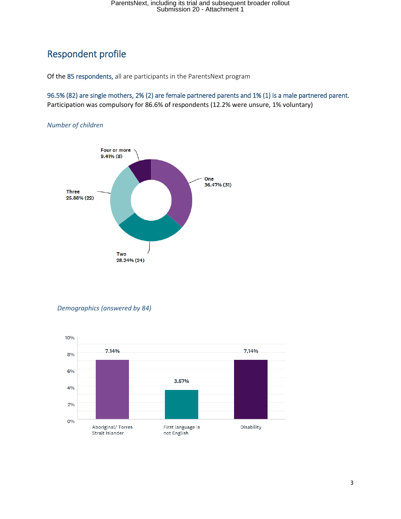## Respondent profile

Of the 85 respondents, all are participants in the ParentsNext program

96.5% (82) are single mothers, 2% (2) are female partnered parents and 1% (1) is a male partnered parent. Participation was compulsory for 86.6% of respondents (12.2% were unsure, 1% voluntary)

*Number of children*



*Demographics (answered by 84)*

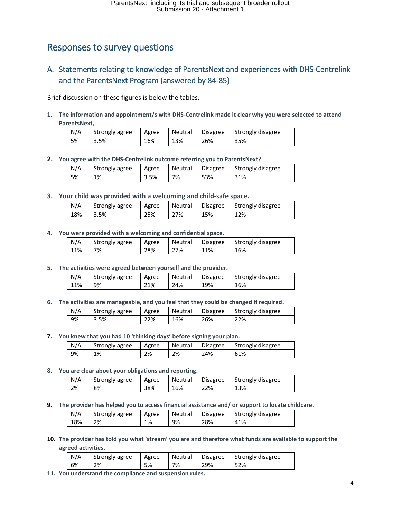## Responses to survey questions

### A. Statements relating to knowledge of ParentsNext and experiences with DHS-Centrelink and the ParentsNext Program (answered by 84-85)

Brief discussion on these figures is below the tables.

**1. The information and appointment/s with DHS-Centrelink made it clear why you were selected to attend ParentsNext,** 

| N/A | Strongly agree | Agree | Neutral | Disagree | Strongly disagree |
|-----|----------------|-------|---------|----------|-------------------|
| 5%  | 3.5%           | 16%   | 13%     | 26%      | 35%               |

**2. You agree with the DHS-Centrelink outcome referring you to ParentsNext?**

| N/A | Strongly agree | Agree | Neutral | <b>Disagree</b> | Strongly disagree |
|-----|----------------|-------|---------|-----------------|-------------------|
| 5%  | 1%             | 3.5%  | 7%      | 53%             | 31%               |

**3. Your child was provided with a welcoming and child-safe space.**

| N/A | Strongly agree | Agree | Neutral | <b>Disagree</b> | Strongly disagree |
|-----|----------------|-------|---------|-----------------|-------------------|
| 18% | 3.5%           | 25%   | 27%     | 15%             | 12%               |

### **4. You were provided with a welcoming and confidential space.**

| N/A | Strongly agree | Agree | Neutral | Disagree | Strongly disagree |
|-----|----------------|-------|---------|----------|-------------------|
| 11% | 7%             | 28%   | 27%     | 11%      | 16%               |

**5. The activities were agreed between yourself and the provider.**

| N/A | Strongly agree | Agree | Neutral | Disagree | Strongly disagree |
|-----|----------------|-------|---------|----------|-------------------|
| 11% | 9%             | 21%   | 24%     | 19%      | 16%               |

**6. The activities are manageable, and you feel that they could be changed if required.**

| N/A | Strongly agree | Agree | Neutral | <b>Disagree</b> | Strongly disagree |
|-----|----------------|-------|---------|-----------------|-------------------|
| 9%  | 3.5%           | 22%   | 16%     | 26%             | 22%               |

**7. You knew that you had 10 'thinking days' before signing your plan.**

| N/A | Strongly agree | Agree | Neutral | <b>Disagree</b> | Strongly disagree |
|-----|----------------|-------|---------|-----------------|-------------------|
| 9%  | 1%             | 2%    | 2%      | 24%             | 61%               |

**8. You are clear about your obligations and reporting.**

| N/A | Strongly agree | Agree | Neutral | <b>Disagree</b> | Strongly disagree |
|-----|----------------|-------|---------|-----------------|-------------------|
| 2%  | 8%             | 38%   | 16%     | 22%             | 13%               |

**9. The provider has helped you to access financial assistance and/ or support to locate childcare.**

| N/A | Strongly agree | Agree | Neutral | <b>Disagree</b> | Strongly disagree |
|-----|----------------|-------|---------|-----------------|-------------------|
| 18% | 2%             | 1%    | 9%      | 28%             | 41%               |

### **10. The provider has told you what 'stream' you are and therefore what funds are available to support the agreed activities.**

| N/A | Strongly agree | Agree | Neutral | <b>Disagree</b> | Strongly disagree |
|-----|----------------|-------|---------|-----------------|-------------------|
| 6%  | 2%             | 5%    | 7%      | 29%             | 52%               |

**11. You understand the compliance and suspension rules.**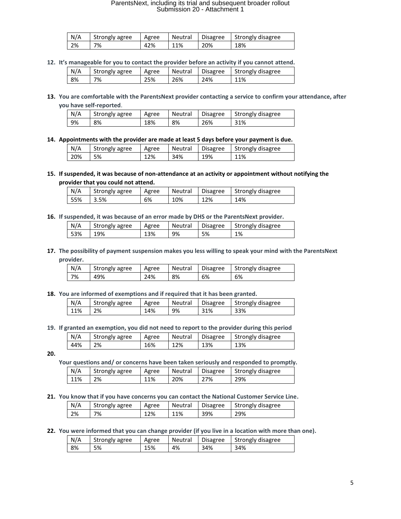| N/A | Strongly agree | Agree | Neutral | <b>Disagree</b> | Strongly disagree |
|-----|----------------|-------|---------|-----------------|-------------------|
| 2%  | 7%             | 42%   | 11%     | 20%             | 18%               |

**12. It's manageable for you to contact the provider before an activity if you cannot attend.**

| N/A | Strongly agree | Agree | Neutral | <b>Disagree</b> | Strongly disagree |
|-----|----------------|-------|---------|-----------------|-------------------|
| 8%  | 7%             | 25%   | 26%     | 24%             | 11%               |

**13. You are comfortable with the ParentsNext provider contacting a service to confirm your attendance, after you have self-reported**.

| N/A | Strongly agree | Agree | Neutral | <b>Disagree</b> | Strongly disagree |
|-----|----------------|-------|---------|-----------------|-------------------|
| 9%  | 8%             | 18%   | 8%      | 26%             | 31%               |

**14. Appointments with the provider are made at least 5 days before your payment is due.**

| N/A | Strongly agree | Agree | Neutral |     | Disagree   Strongly disagree |
|-----|----------------|-------|---------|-----|------------------------------|
| 20% | 5%             | 12%   | 34%     | 19% | 11%                          |

**15. If suspended, it was because of non-attendance at an activity or appointment without notifying the provider that you could not attend.**

| N/A | Strongly agree | Agree |     |     | Neutral Disagree Strongly disagree |
|-----|----------------|-------|-----|-----|------------------------------------|
| 55% | 3.5%           | 6%    | 10% | 12% | 14%                                |

**16. If suspended, it was because of an error made by DHS or the ParentsNext provider.**

| N/A | Strongly agree | Agree | Neutral | <b>Disagree</b> | Strongly disagree |
|-----|----------------|-------|---------|-----------------|-------------------|
| 53% | 19%            | 13%   | 9%      | 5%              | 1%                |

**17. The possibility of payment suspension makes you less willing to speak your mind with the ParentsNext provider.**

| N/A | Strongly agree | Agree | Neutral | <b>Disagree</b> | Strongly disagree |
|-----|----------------|-------|---------|-----------------|-------------------|
| 7%  | 49%            | 24%   | 8%      | 6%              | 6%                |

**18. You are informed of exemptions and if required that it has been granted.**

| N/A | Strongly agree | Agree | Neutral | Disagree | Strongly disagree |
|-----|----------------|-------|---------|----------|-------------------|
| 11% | 2%             | 14%   | 9%      | 31%      | 33%               |

**19. If granted an exemption, you did not need to report to the provider during this period**

| N/A | Strongly agree | Agree | Neutral | <b>Disagree</b> | Strongly disagree |
|-----|----------------|-------|---------|-----------------|-------------------|
| 44% | 2%             | 16%   | 12%     | 13%             | 13%               |

**20.**

**Your questions and/ or concerns have been taken seriously and responded to promptly.**

| N/A | Strongly agree | Agree | Neutral | <b>Disagree</b> | Strongly disagree |
|-----|----------------|-------|---------|-----------------|-------------------|
| 11% | 2%             | 11%   | 20%     | 27%             | 29%               |

**21. You know that if you have concerns you can contact the National Customer Service Line.**

| N/A | Strongly agree | Agree | Neutral | Disagree | Strongly disagree |
|-----|----------------|-------|---------|----------|-------------------|
| 2%  | 7%             | 12%   | 11%     | 39%      | 29%               |

**22. You were informed that you can change provider (if you live in a location with more than one).**

| N/A | Strongly agree | Agree | Neutral | <b>Disagree</b> | Strongly disagree |
|-----|----------------|-------|---------|-----------------|-------------------|
| 8%  | 5%             | 15%   | 4%      | 34%             | 34%               |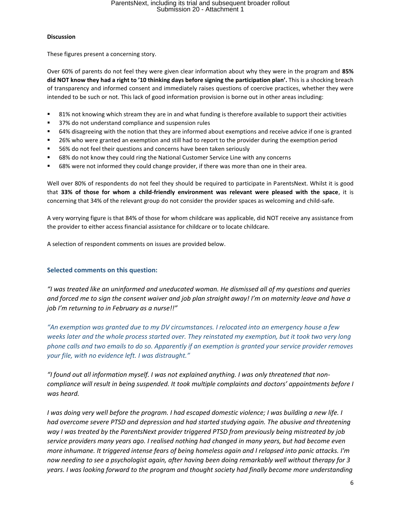#### **Discussion**

These figures present a concerning story.

Over 60% of parents do not feel they were given clear information about why they were in the program and **85% did NOT know they had a right to '10 thinking days before signing the participation plan'.** This is a shocking breach of transparency and informed consent and immediately raises questions of coercive practices, whether they were intended to be such or not. This lack of good information provision is borne out in other areas including:

- 81% not knowing which stream they are in and what funding is therefore available to support their activities
- 37% do not understand compliance and suspension rules
- 64% disagreeing with the notion that they are informed about exemptions and receive advice if one is granted
- 26% who were granted an exemption and still had to report to the provider during the exemption period
- 56% do not feel their questions and concerns have been taken seriously
- 68% do not know they could ring the National Customer Service Line with any concerns
- 68% were not informed they could change provider, if there was more than one in their area.

Well over 80% of respondents do not feel they should be required to participate in ParentsNext. Whilst it is good that **33% of those for whom a child-friendly environment was relevant were pleased with the space**, it is concerning that 34% of the relevant group do not consider the provider spaces as welcoming and child-safe.

A very worrying figure is that 84% of those for whom childcare was applicable, did NOT receive any assistance from the provider to either access financial assistance for childcare or to locate childcare.

A selection of respondent comments on issues are provided below.

### **Selected comments on this question:**

*"I was treated like an uninformed and uneducated woman. He dismissed all of my questions and queries and forced me to sign the consent waiver and job plan straight away! I'm on maternity leave and have a job I'm returning to in February as a nurse!!"*

*"An exemption was granted due to my DV circumstances. I relocated into an emergency house a few weeks later and the whole process started over. They reinstated my exemption, but it took two very long phone calls and two emails to do so. Apparently if an exemption is granted your service provider removes your file, with no evidence left. I was distraught."*

*"I found out all information myself. I was not explained anything. I was only threatened that noncompliance will result in being suspended. It took multiple complaints and doctors' appointments before I was heard.*

*I* was doing very well before the program. I had escaped domestic violence; I was building a new life. I *had overcome severe PTSD and depression and had started studying again. The abusive and threatening way I was treated by the ParentsNext provider triggered PTSD from previously being mistreated by job service providers many years ago. I realised nothing had changed in many years, but had become even more inhumane. It triggered intense fears of being homeless again and I relapsed into panic attacks. I'm now needing to see a psychologist again, after having been doing remarkably well without therapy for 3 years. I was looking forward to the program and thought society had finally become more understanding*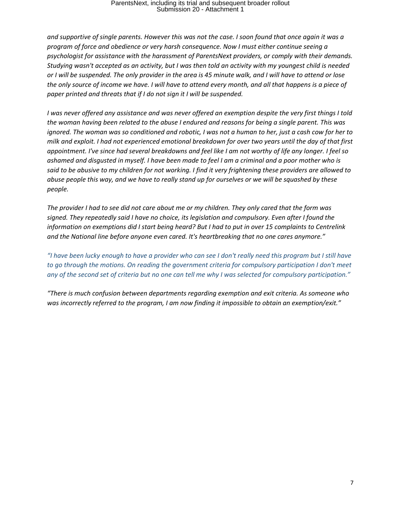*and supportive of single parents. However this was not the case. I soon found that once again it was a program of force and obedience or very harsh consequence. Now I must either continue seeing a psychologist for assistance with the harassment of ParentsNext providers, or comply with their demands. Studying wasn't accepted as an activity, but I was then told an activity with my youngest child is needed or I will be suspended. The only provider in the area is 45 minute walk, and I will have to attend or lose the only source of income we have. I will have to attend every month, and all that happens is a piece of paper printed and threats that if I do not sign it I will be suspended.* 

*I was never offered any assistance and was never offered an exemption despite the very first things I told the woman having been related to the abuse I endured and reasons for being a single parent. This was ignored. The woman was so conditioned and robotic, I was not a human to her, just a cash cow for her to milk and exploit. I had not experienced emotional breakdown for over two years until the day of that first appointment. I've since had several breakdowns and feel like I am not worthy of life any longer. I feel so ashamed and disgusted in myself. I have been made to feel I am a criminal and a poor mother who is said to be abusive to my children for not working. I find it very frightening these providers are allowed to abuse people this way, and we have to really stand up for ourselves or we will be squashed by these people.* 

*The provider I had to see did not care about me or my children. They only cared that the form was signed. They repeatedly said I have no choice, its legislation and compulsory. Even after I found the information on exemptions did I start being heard? But I had to put in over 15 complaints to Centrelink and the National line before anyone even cared. It's heartbreaking that no one cares anymore."*

*"I have been lucky enough to have a provider who can see I don't really need this program but I still have to go through the motions. On reading the government criteria for compulsory participation I don't meet any of the second set of criteria but no one can tell me why I was selected for compulsory participation."*

*"There is much confusion between departments regarding exemption and exit criteria. As someone who was incorrectly referred to the program, I am now finding it impossible to obtain an exemption/exit."*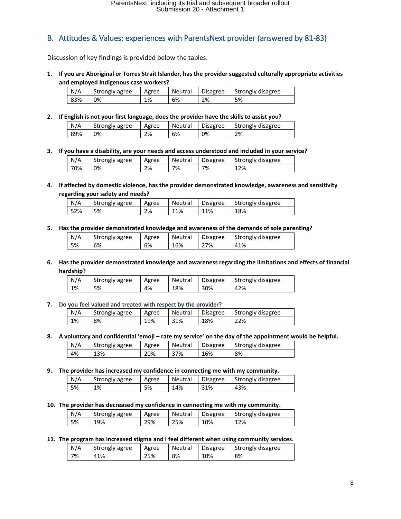### B. Attitudes & Values: experiences with ParentsNext provider (answered by 81-83)

Discussion of key findings is provided below the tables.

**1. If you are Aboriginal or Torres Strait Islander, has the provider suggested culturally appropriate activities and employed Indigenous case workers?**

| N/A | Strongly agree | Agree | Neutral | <b>Disagree</b> | Strongly disagree |
|-----|----------------|-------|---------|-----------------|-------------------|
| 83% | 0%             | 1%    | 6%      | 2%              | 5%                |

**2. If English is not your first language, does the provider have the skills to assist you?**

| N/A | Strongly agree | Agree | Neutral | <b>Disagree</b> | Strongly disagree |
|-----|----------------|-------|---------|-----------------|-------------------|
| 89% | 0%             | 2%    | 6%      | 0%              | 2%                |

**3. If you have a disability, are your needs and access understood and included in your service?**

| N/A | Strongly agree | Agree | Neutral | Disagree | Strongly disagree |
|-----|----------------|-------|---------|----------|-------------------|
| 70% | 0%             | 2%    | 7%      | 7%       | 12%               |

**4. If affected by domestic violence, has the provider demonstrated knowledge, awareness and sensitivity regarding your safety and needs?**

| N/A | Strongly agree | Agree | Neutral | <b>Disagree</b> | Strongly disagree |
|-----|----------------|-------|---------|-----------------|-------------------|
| 52% | 5%             | 2%    | 11%     | 11%             | 18%               |

**5. Has the provider demonstrated knowledge and awareness of the demands of sole parenting?**

| N/A | Strongly agree | Agree | Neutral | <b>Disagree</b> | Strongly disagree |
|-----|----------------|-------|---------|-----------------|-------------------|
| 5%  | 6%             | 6%    | 16%     | 27%             | 41%               |

**6. Has the provider demonstrated knowledge and awareness regarding the limitations and effects of financial hardship?**

| N/A | Strongly agree | Agree | Neutral | <b>Disagree</b> | Strongly disagree |
|-----|----------------|-------|---------|-----------------|-------------------|
| 1%  | 5%             | 4%    | 18%     | 30%             | 42%               |

**7. Do you feel valued and treated with respect by the provider?**

| N/A | Strongly agree | Agree | Neutral | <b>Disagree</b> | Strongly disagree |
|-----|----------------|-------|---------|-----------------|-------------------|
| 1%  | 8%             | 19%   | 31%     | 18%             | 22%               |

**8. A voluntary and confidential 'emoji – rate my service' on the day of the appointment would be helpful.**

| N/A | Strongly agree | Agree | Neutral | <b>Disagree</b> | Strongly disagree |
|-----|----------------|-------|---------|-----------------|-------------------|
| 4%  | 13%            | 20%   | 37%     | 16%             | 8%                |

**9. The provider has increased my confidence in connecting me with my community.**

| N/A | Strongly agree | Agree | Neutral | <b>Disagree</b> | Strongly disagree |
|-----|----------------|-------|---------|-----------------|-------------------|
| 5%  | 1%             | 5%    | 14%     | 31%             | 43%               |

**10. The provider has decreased my confidence in connecting me with my community.**

| N/A | Strongly agree | Agree | Neutral | <b>Disagree</b> | Strongly disagree |
|-----|----------------|-------|---------|-----------------|-------------------|
| 5%  | 19%            | 29%   | 25%     | 10%             | 12%               |

#### **11. The program has increased stigma and I feel different when using community services.**

| N/A | Strongly agree | Agree | Neutral | <b>Disagree</b> | Strongly disagree |
|-----|----------------|-------|---------|-----------------|-------------------|
| 7%  | 41%            | 25%   | 8%      | 10%             | 8%                |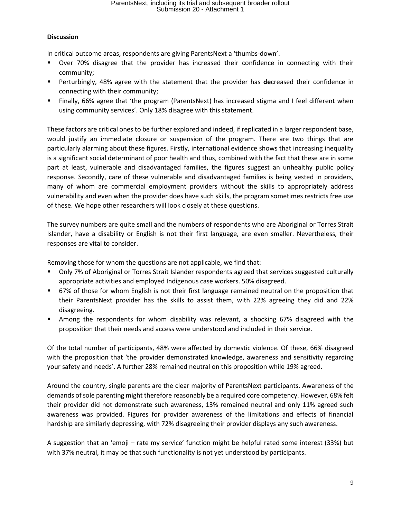### **Discussion**

In critical outcome areas, respondents are giving ParentsNext a 'thumbs-down'.

- Over 70% disagree that the provider has increased their confidence in connecting with their community;
- Perturbingly, 48% agree with the statement that the provider has **de**creased their confidence in connecting with their community;
- Finally, 66% agree that 'the program (ParentsNext) has increased stigma and I feel different when using community services'. Only 18% disagree with this statement.

These factors are critical ones to be further explored and indeed, if replicated in a larger respondent base, would justify an immediate closure or suspension of the program. There are two things that are particularly alarming about these figures. Firstly, international evidence shows that increasing inequality is a significant social determinant of poor health and thus, combined with the fact that these are in some part at least, vulnerable and disadvantaged families, the figures suggest an unhealthy public policy response. Secondly, care of these vulnerable and disadvantaged families is being vested in providers, many of whom are commercial employment providers without the skills to appropriately address vulnerability and even when the provider does have such skills, the program sometimes restricts free use of these. We hope other researchers will look closely at these questions.

The survey numbers are quite small and the numbers of respondents who are Aboriginal or Torres Strait Islander, have a disability or English is not their first language, are even smaller. Nevertheless, their responses are vital to consider.

Removing those for whom the questions are not applicable, we find that:

- Only 7% of Aboriginal or Torres Strait Islander respondents agreed that services suggested culturally appropriate activities and employed Indigenous case workers. 50% disagreed.
- 67% of those for whom English is not their first language remained neutral on the proposition that their ParentsNext provider has the skills to assist them, with 22% agreeing they did and 22% disagreeing.
- Among the respondents for whom disability was relevant, a shocking 67% disagreed with the proposition that their needs and access were understood and included in their service.

Of the total number of participants, 48% were affected by domestic violence. Of these, 66% disagreed with the proposition that 'the provider demonstrated knowledge, awareness and sensitivity regarding your safety and needs'. A further 28% remained neutral on this proposition while 19% agreed.

Around the country, single parents are the clear majority of ParentsNext participants. Awareness of the demands of sole parenting might therefore reasonably be a required core competency. However, 68% felt their provider did not demonstrate such awareness, 13% remained neutral and only 11% agreed such awareness was provided. Figures for provider awareness of the limitations and effects of financial hardship are similarly depressing, with 72% disagreeing their provider displays any such awareness.

A suggestion that an 'emoji – rate my service' function might be helpful rated some interest (33%) but with 37% neutral, it may be that such functionality is not yet understood by participants.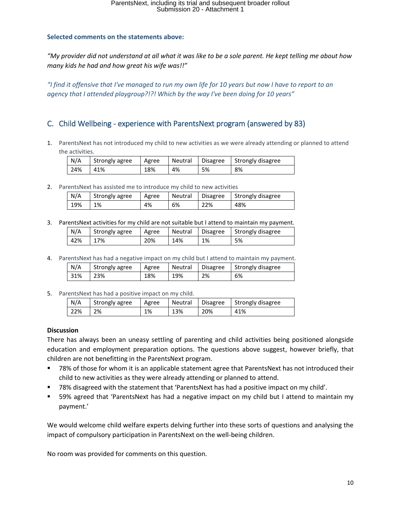### **Selected comments on the statements above:**

*"My provider did not understand at all what it was like to be a sole parent. He kept telling me about how many kids he had and how great his wife was!!"*

*"I find it offensive that I've managed to run my own life for 10 years but now I have to report to an agency that I attended playgroup?!?! Which by the way I've been doing for 10 years"*

### C. Child Wellbeing - experience with ParentsNext program (answered by 83)

1. ParentsNext has not introduced my child to new activities as we were already attending or planned to attend the activities.

| N/A | Strongly agree | Agree | Neutral | <b>Disagree</b> | Strongly disagree |
|-----|----------------|-------|---------|-----------------|-------------------|
| 24% | 41%            | 18%   | 4%      | 5%              | 8%                |

2. ParentsNext has assisted me to introduce my child to new activities

| N/A | Strongly agree | Agree | Neutral | <b>Disagree</b> | Strongly disagree |
|-----|----------------|-------|---------|-----------------|-------------------|
| 19% | 1%             | 4%    | 6%      | 22%             | 48%               |

3. ParentsNext activities for my child are not suitable but I attend to maintain my payment.

| N/A | Strongly agree | Agree | Neutral | <b>Disagree</b> | Strongly disagree |
|-----|----------------|-------|---------|-----------------|-------------------|
| 42% | 7%             | 20%   | 14%     | 1%              | 5%                |

4. ParentsNext has had a negative impact on my child but I attend to maintain my payment.

| N/A | Strongly agree | Agree | Neutral | <b>Disagree</b> | Strongly disagree |
|-----|----------------|-------|---------|-----------------|-------------------|
| 31% | 23%            | 18%   | 19%     | 2%              | 6%                |

5. ParentsNext has had a positive impact on my child.

| N/A | Strongly agree | Agree | Neutral | Disagree | Strongly disagree |
|-----|----------------|-------|---------|----------|-------------------|
| 22% | 2%             | 1%    | 13%     | 20%      | 41%               |

### **Discussion**

There has always been an uneasy settling of parenting and child activities being positioned alongside education and employment preparation options. The questions above suggest, however briefly, that children are not benefitting in the ParentsNext program.

- 78% of those for whom it is an applicable statement agree that ParentsNext has not introduced their child to new activities as they were already attending or planned to attend.
- 78% disagreed with the statement that 'ParentsNext has had a positive impact on my child'.
- 59% agreed that 'ParentsNext has had a negative impact on my child but I attend to maintain my payment.'

We would welcome child welfare experts delving further into these sorts of questions and analysing the impact of compulsory participation in ParentsNext on the well-being children.

No room was provided for comments on this question.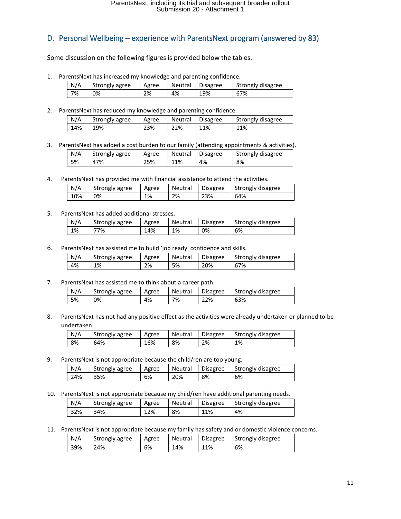### D. Personal Wellbeing – experience with ParentsNext program (answered by 83)

Some discussion on the following figures is provided below the tables.

1. ParentsNext has increased my knowledge and parenting confidence.

| N/A | Strongly agree | Agree | Neutral | <b>Disagree</b> | Strongly disagree |
|-----|----------------|-------|---------|-----------------|-------------------|
| 7%  | 0%             | 2%    | 4%      | 19%             | 67%               |

2. ParentsNext has reduced my knowledge and parenting confidence.

| N/A | Strongly agree | Agree | Neutral | <b>Disagree</b> | Strongly disagree |
|-----|----------------|-------|---------|-----------------|-------------------|
| 14% | 19%            | 23%   | 22%     | 11%             | 11%               |

3. ParentsNext has added a cost burden to our family (attending appointments & activities).

| N/A | Strongly agree | Agree | Neutral | <b>Disagree</b> | Strongly disagree |
|-----|----------------|-------|---------|-----------------|-------------------|
| 5%  | 47%            | 25%   | 11%     | 4%              | 8%                |

4. ParentsNext has provided me with financial assistance to attend the activities.

| N/A | Strongly agree | Agree | Neutral | <b>Disagree</b> | Strongly disagree |
|-----|----------------|-------|---------|-----------------|-------------------|
| 10% | 0%             | 1%    | 2%      | 23%             | 64%               |

#### 5. ParentsNext has added additional stresses.

| N/A | Strongly agree | Agree | Neutral | <b>Disagree</b> | Strongly disagree |
|-----|----------------|-------|---------|-----------------|-------------------|
| 1%  | 77%            | 14%   | 1%      | 0%              | 6%                |

6. ParentsNext has assisted me to build 'job ready' confidence and skills.

| N/A | Strongly agree | Agree | Neutral | <b>Disagree</b> | Strongly disagree |
|-----|----------------|-------|---------|-----------------|-------------------|
| 4%  | 1%             | 2%    | 5%      | 20%             | 67%               |

7. ParentsNext has assisted me to think about a career path.

| N/A | Strongly agree | Agree | Neutral | <b>Disagree</b> | Strongly disagree |
|-----|----------------|-------|---------|-----------------|-------------------|
| 5%  | 0%             | 4%    | 7%      | 22%             | 63%               |

8. ParentsNext has not had any positive effect as the activities were already undertaken or planned to be undertaken.

| N/A | Strongly agree | Agree | Neutral | Disagree | Strongly disagree |
|-----|----------------|-------|---------|----------|-------------------|
| 8%  | 64%            | 16%   | 8%      | 2%       | 1%                |

9. ParentsNext is not appropriate because the child/ren are too young.

| N/A | Strongly agree | Agree | Neutral | Disagree | Strongly disagree |
|-----|----------------|-------|---------|----------|-------------------|
| 24% | 35%            | 6%    | 20%     | 8%       | 6%                |

10. ParentsNext is not appropriate because my child/ren have additional parenting needs.

| N/A | Strongly agree | Agree | Neutral | <b>Disagree</b> | Strongly disagree |
|-----|----------------|-------|---------|-----------------|-------------------|
| 32% | 34%            | 12%   | 8%      | 11%             | 4%                |

11. ParentsNext is not appropriate because my family has safety and or domestic violence concerns.

| N/A | Strongly agree | Agree | Neutral | <b>Disagree</b> | Strongly disagree |
|-----|----------------|-------|---------|-----------------|-------------------|
| 39% | 24%            | 6%    | 14%     | 11%             | 6%                |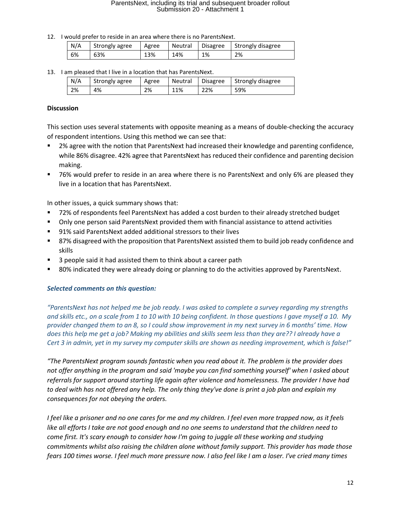12. I would prefer to reside in an area where there is no ParentsNext.

| N/A | Strongly agree | Agree | Neutral | <b>Disagree</b> | Strongly disagree |
|-----|----------------|-------|---------|-----------------|-------------------|
| 6%  | 63%            | 13%   | 14%     | 1%              | 2%                |

13. I am pleased that I live in a location that has ParentsNext.

| N/A | Strongly agree | Agree | Neutral | <b>Disagree</b> | Strongly disagree |
|-----|----------------|-------|---------|-----------------|-------------------|
| 2%  | 4%             | 2%    | 11%     | 22%             | 59%               |

### **Discussion**

This section uses several statements with opposite meaning as a means of double-checking the accuracy of respondent intentions. Using this method we can see that:

- 2% agree with the notion that ParentsNext had increased their knowledge and parenting confidence, while 86% disagree. 42% agree that ParentsNext has reduced their confidence and parenting decision making.
- 76% would prefer to reside in an area where there is no ParentsNext and only 6% are pleased they live in a location that has ParentsNext.

In other issues, a quick summary shows that:

- 72% of respondents feel ParentsNext has added a cost burden to their already stretched budget
- Only one person said ParentsNext provided them with financial assistance to attend activities
- 91% said ParentsNext added additional stressors to their lives
- 87% disagreed with the proposition that ParentsNext assisted them to build job ready confidence and skills
- 3 people said it had assisted them to think about a career path
- 80% indicated they were already doing or planning to do the activities approved by ParentsNext.

### *Selected comments on this question:*

*"ParentsNext has not helped me be job ready. I was asked to complete a survey regarding my strengths and skills etc., on a scale from 1 to 10 with 10 being confident. In those questions I gave myself a 10. My provider changed them to an 8, so I could show improvement in my next survey in 6 months' time. How does this help me get a job? Making my abilities and skills seem less than they are?? I already have a Cert 3 in admin, yet in my survey my computer skills are shown as needing improvement, which is false!"*

*"The ParentsNext program sounds fantastic when you read about it. The problem is the provider does not offer anything in the program and said 'maybe you can find something yourself' when I asked about referrals for support around starting life again after violence and homelessness. The provider I have had to deal with has not offered any help. The only thing they've done is print a job plan and explain my consequences for not obeying the orders.* 

*I feel like a prisoner and no one cares for me and my children. I feel even more trapped now, as it feels like all efforts I take are not good enough and no one seems to understand that the children need to come first. It's scary enough to consider how I'm going to juggle all these working and studying commitments whilst also raising the children alone without family support. This provider has made those fears 100 times worse. I feel much more pressure now. I also feel like I am a loser. I've cried many times*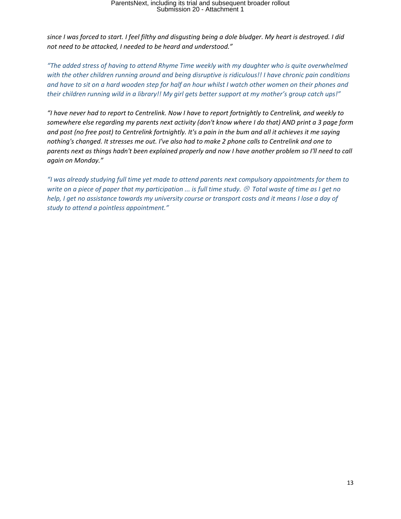*since I was forced to start. I feel filthy and disgusting being a dole bludger. My heart is destroyed. I did not need to be attacked, I needed to be heard and understood."* 

*"The added stress of having to attend Rhyme Time weekly with my daughter who is quite overwhelmed with the other children running around and being disruptive is ridiculous!! I have chronic pain conditions and have to sit on a hard wooden step for half an hour whilst I watch other women on their phones and their children running wild in a library!! My girl gets better support at my mother's group catch ups!"*

*"I have never had to report to Centrelink. Now I have to report fortnightly to Centrelink, and weekly to somewhere else regarding my parents next activity (don't know where I do that) AND print a 3 page form and post (no free post) to Centrelink fortnightly. It's a pain in the bum and all it achieves it me saying nothing's changed. It stresses me out. I've also had to make 2 phone calls to Centrelink and one to parents next as things hadn't been explained properly and now I have another problem so I'll need to call again on Monday."*

*"I was already studying full time yet made to attend parents next compulsory appointments for them to write on a piece of paper that my participation ... is full time study. Total waste of time as I get no help, I get no assistance towards my university course or transport costs and it means I lose a day of study to attend a pointless appointment."*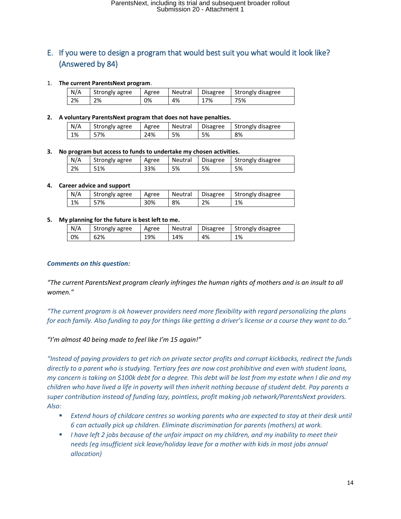### E. If you were to design a program that would best suit you what would it look like? (Answered by 84)

### 1. **The current ParentsNext program**.

| N/A | Strongly agree | Agree | Neutral | <b>Disagree</b> | Strongly disagree |  |
|-----|----------------|-------|---------|-----------------|-------------------|--|
| 2%  | 2%             | 0%    | 4%      | 17%             | 75%               |  |

### **2. A voluntary ParentsNext program that does not have penalties.**

| N/A | Strongly agree | Agree | Neutral | <b>Disagree</b> | Strongly disagree |
|-----|----------------|-------|---------|-----------------|-------------------|
| 1%  | 57%            | 24%   | 5%      | 5%              | 8%                |

### **3. No program but access to funds to undertake my chosen activities.**

| N/A | Strongly agree | Agree | Neutral | <b>Disagree</b> | Strongly disagree |
|-----|----------------|-------|---------|-----------------|-------------------|
| 2%  | 51%            | 33%   | 5%      | 5%              | 5%                |

#### **4. Career advice and support**

| N/A | Strongly agree | Agree | Neutral | <b>Disagree</b> | Strongly disagree |
|-----|----------------|-------|---------|-----------------|-------------------|
| 1%  | -7%            | 30%   | 8%      | 2%              | 1%                |

#### **5. My planning for the future is best left to me.**

| N/A | Strongly agree | Agree | Neutral | <b>Disagree</b> | Strongly disagree |
|-----|----------------|-------|---------|-----------------|-------------------|
| 0%  | 62%            | 19%   | 4%،     | 4%              | 1%                |

### *Comments on this question:*

*"The current ParentsNext program clearly infringes the human rights of mothers and is an insult to all women."*

*"The current program is ok however providers need more flexibility with regard personalizing the plans for each family. Also funding to pay for things like getting a driver's license or a course they want to do."*

*"I'm almost 40 being made to feel like I'm 15 again!"*

*"Instead of paying providers to get rich on private sector profits and corrupt kickbacks, redirect the funds directly to a parent who is studying. Tertiary fees are now cost prohibitive and even with student loans, my concern is taking on \$100k debt for a degree. This debt will be lost from my estate when I die and my children who have lived a life in poverty will then inherit nothing because of student debt. Pay parents a super contribution instead of funding lazy, pointless, profit making job network/ParentsNext providers. Also:*

- *Extend hours of childcare centres so working parents who are expected to stay at their desk until 6 can actually pick up children. Eliminate discrimination for parents (mothers) at work.*
- *I have left 2 jobs because of the unfair impact on my children, and my inability to meet their needs (eg insufficient sick leave/holiday leave for a mother with kids in most jobs annual allocation)*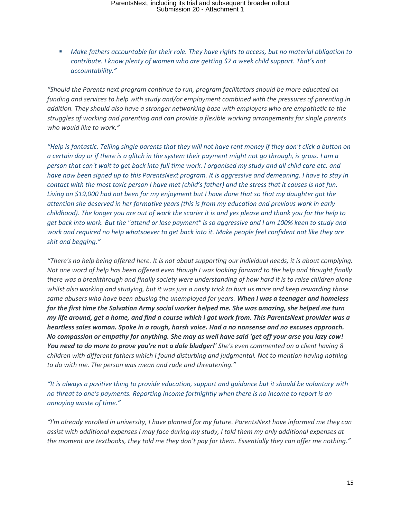■ Make fathers accountable for their role. They have rights to access, but no material obligation to *contribute. I know plenty of women who are getting \$7 a week child support. That's not accountability."*

*"Should the Parents next program continue to run, program facilitators should be more educated on funding and services to help with study and/or employment combined with the pressures of parenting in addition. They should also have a stronger networking base with employers who are empathetic to the struggles of working and parenting and can provide a flexible working arrangements for single parents who would like to work."*

*"Help is fantastic. Telling single parents that they will not have rent money if they don't click a button on a certain day or if there is a glitch in the system their payment might not go through, is gross. I am a person that can't wait to get back into full time work. I organised my study and all child care etc. and have now been signed up to this ParentsNext program. It is aggressive and demeaning. I have to stay in contact with the most toxic person I have met (child's father) and the stress that it causes is not fun. Living on \$19,000 had not been for my enjoyment but I have done that so that my daughter got the attention she deserved in her formative years (this is from my education and previous work in early childhood). The longer you are out of work the scarier it is and yes please and thank you for the help to get back into work. But the "attend or lose payment" is so aggressive and I am 100% keen to study and work and required no help whatsoever to get back into it. Make people feel confident not like they are shit and begging."*

*"There's no help being offered here. It is not about supporting our individual needs, it is about complying. Not one word of help has been offered even though I was looking forward to the help and thought finally there was a breakthrough and finally society were understanding of how hard it is to raise children alone whilst also working and studying, but it was just a nasty trick to hurt us more and keep rewarding those same abusers who have been abusing the unemployed for years. When I was a teenager and homeless for the first time the Salvation Army social worker helped me. She was amazing, she helped me turn my life around, get a home, and find a course which I got work from. This ParentsNext provider was a heartless sales woman. Spoke in a rough, harsh voice. Had a no nonsense and no excuses approach. No compassion or empathy for anything. She may as well have said 'get off your arse you lazy cow! You need to do more to prove you're not a dole bludger!' She's even commented on a client having 8 children with different fathers which I found disturbing and judgmental. Not to mention having nothing to do with me. The person was mean and rude and threatening."*

*"It is always a positive thing to provide education, support and guidance but it should be voluntary with no threat to one's payments. Reporting income fortnightly when there is no income to report is an annoying waste of time."*

*"I'm already enrolled in university, I have planned for my future. ParentsNext have informed me they can assist with additional expenses I may face during my study, I told them my only additional expenses at the moment are textbooks, they told me they don't pay for them. Essentially they can offer me nothing."*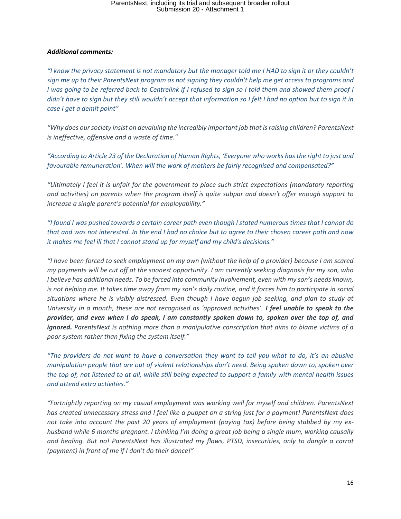### *Additional comments:*

*"I know the privacy statement is not mandatory but the manager told me I HAD to sign it or they couldn't sign me up to their ParentsNext program as not signing they couldn't help me get access to programs and I was going to be referred back to Centrelink if I refused to sign so I told them and showed them proof I didn't have to sign but they still wouldn't accept that information so I felt I had no option but to sign it in case I get a demit point"*

*"Why does our society insist on devaluing the incredibly important job that is raising children? ParentsNext is ineffective, offensive and a waste of time."*

*"According to Article 23 of the Declaration of Human Rights, 'Everyone who works has the right to just and favourable remuneration'. When will the work of mothers be fairly recognised and compensated?"*

*"Ultimately I feel it is unfair for the government to place such strict expectations (mandatory reporting and activities) on parents when the program itself is quite subpar and doesn't offer enough support to increase a single parent's potential for employability."*

*"I found I was pushed towards a certain career path even though I stated numerous times that I cannot do that and was not interested. In the end I had no choice but to agree to their chosen career path and now it makes me feel ill that I cannot stand up for myself and my child's decisions."*

*"I have been forced to seek employment on my own (without the help of a provider) because I am scared my payments will be cut off at the soonest opportunity. I am currently seeking diagnosis for my son, who I* believe has additional needs. To be forced into community involvement, even with my son's needs known, *is not helping me. It takes time away from my son's daily routine, and it forces him to participate in social situations where he is visibly distressed. Even though I have begun job seeking, and plan to study at University in a month, these are not recognised as 'approved activities'. I feel unable to speak to the provider, and even when I do speak, I am constantly spoken down to, spoken over the top of, and ignored. ParentsNext is nothing more than a manipulative conscription that aims to blame victims of a poor system rather than fixing the system itself."*

*"The providers do not want to have a conversation they want to tell you what to do, it's an abusive manipulation people that are out of violent relationships don't need. Being spoken down to, spoken over the top of, not listened to at all, while still being expected to support a family with mental health issues and attend extra activities."*

*"Fortnightly reporting on my casual employment was working well for myself and children. ParentsNext has created unnecessary stress and I feel like a puppet on a string just for a payment! ParentsNext does not take into account the past 20 years of employment (paying tax) before being stabbed by my exhusband while 6 months pregnant. I thinking I'm doing a great job being a single mum, working causally and healing. But no! ParentsNext has illustrated my flaws, PTSD, insecurities, only to dangle a carrot (payment) in front of me if I don't do their dance!"*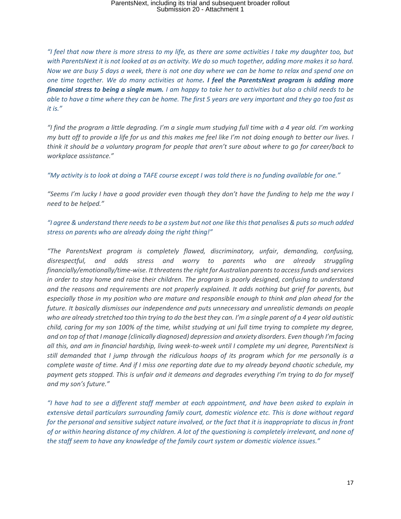*"I feel that now there is more stress to my life, as there are some activities I take my daughter too, but with ParentsNext it is not looked at as an activity. We do so much together, adding more makes it so hard. Now we are busy 5 days a week, there is not one day where we can be home to relax and spend one on one time together. We do many activities at home. I feel the ParentsNext program is adding more financial stress to being a single mum. I am happy to take her to activities but also a child needs to be able to have a time where they can be home. The first 5 years are very important and they go too fast as it is."*

*"I find the program a little degrading. I'm a single mum studying full time with a 4 year old. I'm working my butt off to provide a life for us and this makes me feel like I'm not doing enough to better our lives. I think it should be a voluntary program for people that aren't sure about where to go for career/back to workplace assistance."*

*"My activity is to look at doing a TAFE course except I was told there is no funding available for one."*

*"Seems I'm lucky I have a good provider even though they don't have the funding to help me the way I need to be helped."*

*"I agree & understand there needs to be a system but not one like this that penalises & puts so much added stress on parents who are already doing the right thing!"*

*"The ParentsNext program is completely flawed, discriminatory, unfair, demanding, confusing, disrespectful, and adds stress and worry to parents who are already struggling financially/emotionally/time-wise. It threatens the right for Australian parents to access funds and services in order to stay home and raise their children. The program is poorly designed, confusing to understand and the reasons and requirements are not properly explained. It adds nothing but grief for parents, but especially those in my position who are mature and responsible enough to think and plan ahead for the future. It basically dismisses our independence and puts unnecessary and unrealistic demands on people who are already stretched too thin trying to do the best they can. I'm a single parent of a 4 year old autistic child, caring for my son 100% of the time, whilst studying at uni full time trying to complete my degree, and on top of that I manage (clinically diagnosed) depression and anxiety disorders. Even though I'm facing all this, and am in financial hardship, living week-to-week until I complete my uni degree, ParentsNext is still demanded that I jump through the ridiculous hoops of its program which for me personally is a complete waste of time. And if I miss one reporting date due to my already beyond chaotic schedule, my payment gets stopped. This is unfair and it demeans and degrades everything I'm trying to do for myself and my son's future."*

*"I have had to see a different staff member at each appointment, and have been asked to explain in extensive detail particulars surrounding family court, domestic violence etc. This is done without regard for the personal and sensitive subject nature involved, or the fact that it is inappropriate to discus in front of or within hearing distance of my children. A lot of the questioning is completely irrelevant, and none of the staff seem to have any knowledge of the family court system or domestic violence issues."*